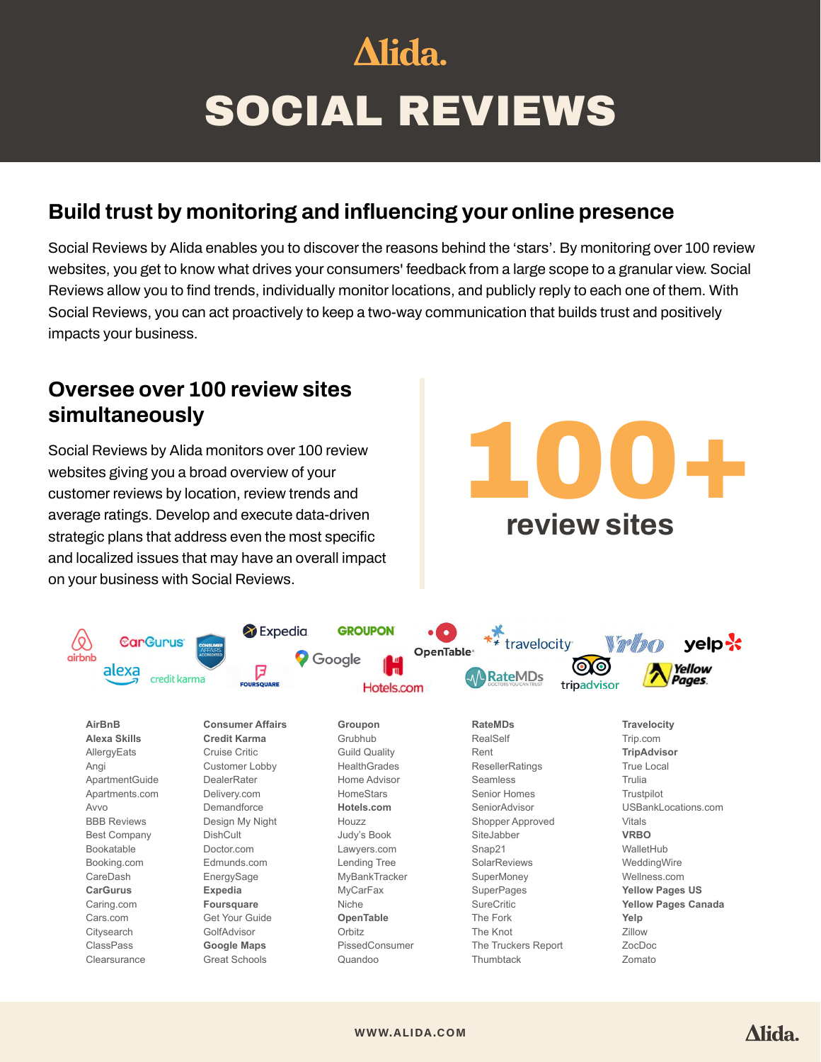# Alida. SOCIAL REVIEWS

# **Build trust by monitoring and influencing your online presence**

Social Reviews by Alida enables you to discover the reasons behind the 'stars'. By monitoring over 100 review websites, you get to know what drives your consumers' feedback from a large scope to a granular view. Social Reviews allow you to find trends, individually monitor locations, and publicly reply to each one of them. With Social Reviews, you can act proactively to keep a two-way communication that builds trust and positively impacts your business.

#### **Oversee over 100 review sites simultaneously**

Social Reviews by Alida monitors over 100 review websites giving you a broad overview of your customer reviews by location, review trends and average ratings. Develop and execute data-driven strategic plans that address even the most specific and localized issues that may have an overall impact on your business with Social Reviews. **Social Reviews Social Reviews**

100+ **review sites**Improve each locations' performance based on site-specific feedback. velp-**x** travelocity Vellow

Alida.



**[WWW.ALIDA.COM](http://www.alida.com)**